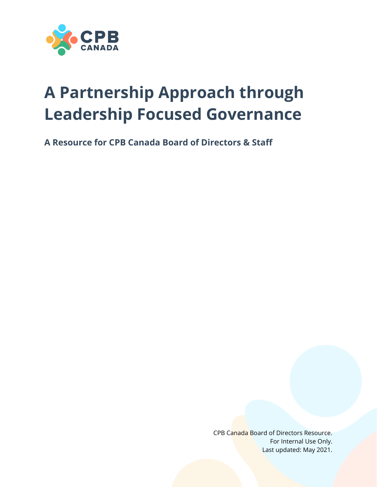

# **A Partnership Approach through Leadership Focused Governance**

**A Resource for CPB Canada Board of Directors & Staff**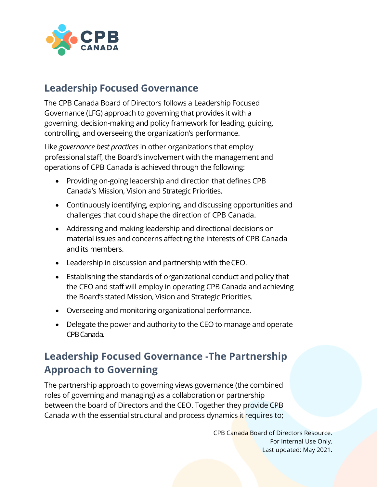

#### **Leadership Focused Governance**

The CPB Canada Board of Directors follows a Leadership Focused Governance (LFG) approach to governing that provides it with a governing, decision-making and policy framework for leading, guiding, controlling, and overseeing the organization's performance.

Like *governance best practices* in other organizations that employ professional staff, the Board's involvement with the management and operations of CPB Canada is achieved through the following:

- Providing on-going leadership and direction that defines CPB Canada's Mission, Vision and Strategic Priorities.
- Continuously identifying, exploring, and discussing opportunities and challenges that could shape the direction of CPB Canada.
- Addressing and making leadership and directional decisions on material issues and concerns affecting the interests of CPB Canada and its members.
- Leadership in discussion and partnership with theCEO.
- Establishing the standards of organizational conduct and policy that the CEO and staff will employ in operating CPB Canada and achieving the Board'sstated Mission, Vision and Strategic Priorities.
- Overseeing and monitoring organizational performance.
- Delegate the power and authority to the CEO to manage and operate CPB Canada.

## **Leadership Focused Governance -The Partnership Approach to Governing**

The partnership approach to governing views governance (the combined roles of governing and managing) as a collaboration or partnership between the board of Directors and the CEO. Together they provide CPB Canada with the essential structural and process dynamics it requires to;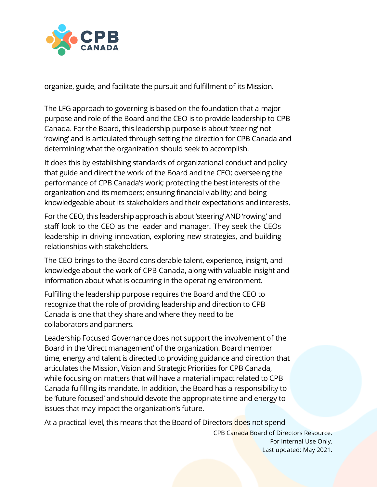

organize, guide, and facilitate the pursuit and fulfillment of its Mission.

The LFG approach to governing is based on the foundation that a major purpose and role of the Board and the CEO is to provide leadership to CPB Canada. For the Board, this leadership purpose is about 'steering' not 'rowing' and is articulated through setting the direction for CPB Canada and determining what the organization should seek to accomplish.

It does this by establishing standards of organizational conduct and policy that guide and direct the work of the Board and the CEO; overseeing the performance of CPB Canada's work; protecting the best interests of the organization and its members; ensuring financial viability; and being knowledgeable about its stakeholders and their expectations and interests.

For the CEO, this leadership approach is about 'steering' AND 'rowing' and staff look to the CEO as the leader and manager. They seek the CEOs leadership in driving innovation, exploring new strategies, and building relationships with stakeholders.

The CEO brings to the Board considerable talent, experience, insight, and knowledge about the work of CPB Canada, along with valuable insight and information about what is occurring in the operating environment.

Fulfilling the leadership purpose requires the Board and the CEO to recognize that the role of providing leadership and direction to CPB Canada is one that they share and where they need to be collaborators and partners.

Leadership Focused Governance does not support the involvement of the Board in the 'direct management' of the organization. Board member time, energy and talent is directed to providing guidance and direction that articulates the Mission, Vision and Strategic Priorities for CPB Canada, while focusing on matters that will have a material impact related to CPB Canada fulfilling its mandate. In addition, the Board has a responsibility to be 'future focused' and should devote the appropriate time and energy to issues that may impact the organization's future.

At a practical level, this means that the Board of Directors does not spend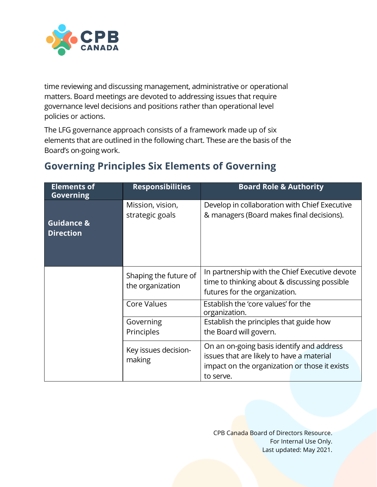

time reviewing and discussing management, administrative or operational matters. Board meetings are devoted to addressing issues that require governance level decisions and positions rather than operational level policies or actions.

The LFG governance approach consists of a framework made up of six elements that are outlined in the following chart. These are the basis of the Board's on-going work.

| <b>Elements of</b><br><b>Governing</b>    | <b>Responsibilities</b>                   | <b>Board Role &amp; Authority</b>                                                                                                                    |
|-------------------------------------------|-------------------------------------------|------------------------------------------------------------------------------------------------------------------------------------------------------|
| <b>Guidance &amp;</b><br><b>Direction</b> | Mission, vision,<br>strategic goals       | Develop in collaboration with Chief Executive<br>& managers (Board makes final decisions).                                                           |
|                                           | Shaping the future of<br>the organization | In partnership with the Chief Executive devote<br>time to thinking about & discussing possible<br>futures for the organization.                      |
|                                           | <b>Core Values</b>                        | Establish the 'core values' for the<br>organization.                                                                                                 |
|                                           | Governing<br>Principles                   | Establish the principles that guide how<br>the Board will govern.                                                                                    |
|                                           | Key issues decision-<br>making            | On an on-going basis identify and address<br>issues that are likely to have a material<br>impact on the organization or those it exists<br>to serve. |

### **Governing Principles Six Elements of Governing**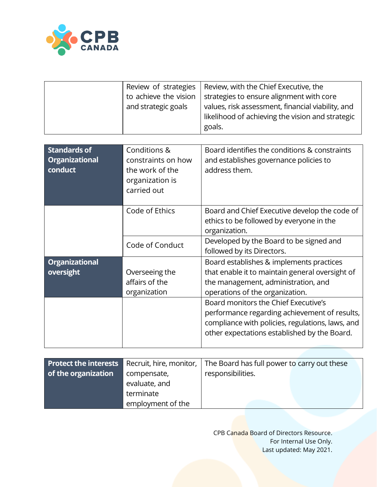

| Review of strategies  | Review, with the Chief Executive, the             |
|-----------------------|---------------------------------------------------|
| to achieve the vision | strategies to ensure alignment with core          |
| and strategic goals   | values, risk assessment, financial viability, and |
|                       | likelihood of achieving the vision and strategic  |
|                       | goals.                                            |

| <b>Standards of</b><br><b>Organizational</b><br>conduct | Conditions &<br>constraints on how<br>the work of the<br>organization is<br>carried out | Board identifies the conditions & constraints<br>and establishes governance policies to<br>address them.                                                                                  |
|---------------------------------------------------------|-----------------------------------------------------------------------------------------|-------------------------------------------------------------------------------------------------------------------------------------------------------------------------------------------|
|                                                         | Code of Ethics                                                                          | Board and Chief Executive develop the code of<br>ethics to be followed by everyone in the<br>organization.                                                                                |
|                                                         | Code of Conduct                                                                         | Developed by the Board to be signed and<br>followed by its Directors.                                                                                                                     |
| <b>Organizational</b><br>oversight                      | Overseeing the<br>affairs of the<br>organization                                        | Board establishes & implements practices<br>that enable it to maintain general oversight of<br>the management, administration, and<br>operations of the organization.                     |
|                                                         |                                                                                         | Board monitors the Chief Executive's<br>performance regarding achievement of results,<br>compliance with policies, regulations, laws, and<br>other expectations established by the Board. |

|                     |                   | <b>Protect the interests</b> Recruit, hire, monitor, $\vert$ The Board has full power to carry out these |  |
|---------------------|-------------------|----------------------------------------------------------------------------------------------------------|--|
| of the organization | compensate,       | responsibilities.                                                                                        |  |
|                     | evaluate, and     |                                                                                                          |  |
|                     | terminate         |                                                                                                          |  |
|                     | employment of the |                                                                                                          |  |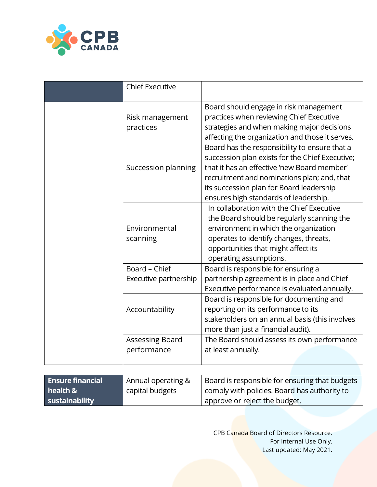

| <b>Chief Executive</b>         |                       |                                                                                                                                                                                                                                                                                     |
|--------------------------------|-----------------------|-------------------------------------------------------------------------------------------------------------------------------------------------------------------------------------------------------------------------------------------------------------------------------------|
| Risk management<br>practices   |                       | Board should engage in risk management<br>practices when reviewing Chief Executive<br>strategies and when making major decisions<br>affecting the organization and those it serves.                                                                                                 |
|                                | Succession planning   | Board has the responsibility to ensure that a<br>succession plan exists for the Chief Executive;<br>that it has an effective 'new Board member'<br>recruitment and nominations plan; and, that<br>its succession plan for Board leadership<br>ensures high standards of leadership. |
| Environmental<br>scanning      |                       | In collaboration with the Chief Executive<br>the Board should be regularly scanning the<br>environment in which the organization<br>operates to identify changes, threats,<br>opportunities that might affect its<br>operating assumptions.                                         |
| Board - Chief                  | Executive partnership | Board is responsible for ensuring a<br>partnership agreement is in place and Chief<br>Executive performance is evaluated annually.                                                                                                                                                  |
| Accountability                 |                       | Board is responsible for documenting and<br>reporting on its performance to its<br>stakeholders on an annual basis (this involves<br>more than just a financial audit).                                                                                                             |
| Assessing Board<br>performance |                       | The Board should assess its own performance<br>at least annually.                                                                                                                                                                                                                   |

| <b>Ensure financial</b> | Annual operating & | Board is responsible for ensuring that budgets |
|-------------------------|--------------------|------------------------------------------------|
| health &                | capital budgets    | comply with policies. Board has authority to   |
| sustainability          |                    | approve or reject the budget.                  |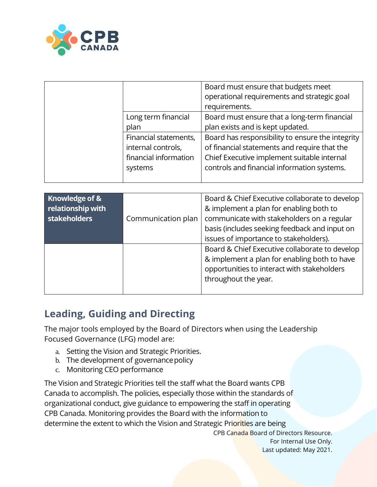

|                       | Board must ensure that budgets meet<br>operational requirements and strategic goal |
|-----------------------|------------------------------------------------------------------------------------|
|                       | requirements.                                                                      |
| Long term financial   | Board must ensure that a long-term financial                                       |
| plan                  | plan exists and is kept updated.                                                   |
| Financial statements, | Board has responsibility to ensure the integrity                                   |
| internal controls,    | of financial statements and require that the                                       |
| financial information | Chief Executive implement suitable internal                                        |
| systems               | controls and financial information systems.                                        |
|                       |                                                                                    |

| Knowledge of &<br>relationship with<br>stakeholders | Communication plan | Board & Chief Executive collaborate to develop<br>& implement a plan for enabling both to<br>communicate with stakeholders on a regular<br>basis (includes seeking feedback and input on<br>issues of importance to stakeholders). |
|-----------------------------------------------------|--------------------|------------------------------------------------------------------------------------------------------------------------------------------------------------------------------------------------------------------------------------|
|                                                     |                    | Board & Chief Executive collaborate to develop<br>& implement a plan for enabling both to have<br>opportunities to interact with stakeholders<br>throughout the year.                                                              |

### **Leading, Guiding and Directing**

The major tools employed by the Board of Directors when using the Leadership Focused Governance (LFG) model are:

- a. Setting the Vision and Strategic Priorities.
- b. The development of governance policy
- c. Monitoring CEO performance

The Vision and Strategic Priorities tell the staff what the Board wants CPB Canada to accomplish. The policies, especially those within the standards of organizational conduct, give guidance to empowering the staff in operating CPB Canada. Monitoring provides the Board with the information to determine the extent to which the Vision and Strategic Priorities are being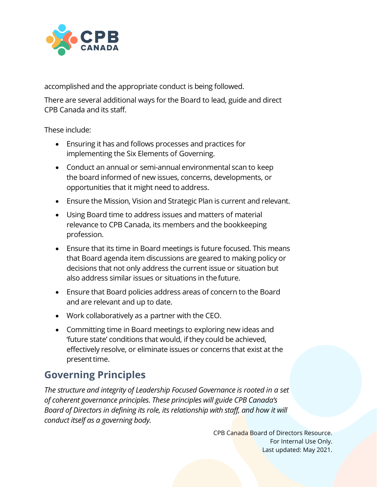

accomplished and the appropriate conduct is being followed.

There are several additional ways for the Board to lead, guide and direct CPB Canada and its staff.

These include:

- Ensuring it has and follows processes and practices for implementing the Six Elements of Governing.
- Conduct an annual or semi-annual environmental scan to keep the board informed of new issues, concerns, developments, or opportunities that it might need to address.
- Ensure the Mission, Vision and Strategic Plan is current and relevant.
- Using Board time to address issues and matters of material relevance to CPB Canada, its members and the bookkeeping profession.
- Ensure that its time in Board meetings is future focused. This means that Board agenda item discussions are geared to making policy or decisions that not only address the current issue or situation but also address similar issues or situations in thefuture.
- Ensure that Board policies address areas of concern to the Board and are relevant and up to date.
- Work collaboratively as a partner with the CEO.
- Committing time in Board meetings to exploring new ideas and 'future state' conditions that would, if they could be achieved, effectively resolve, or eliminate issues or concerns that exist at the present time.

## **Governing Principles**

*The structure and integrity of Leadership Focused Governance is rooted in a set of coherent governance principles. These principles will guide CPB Canada's Board of Directors in defining its role, its relationship with staff, and how it will conduct itself as a governing body.*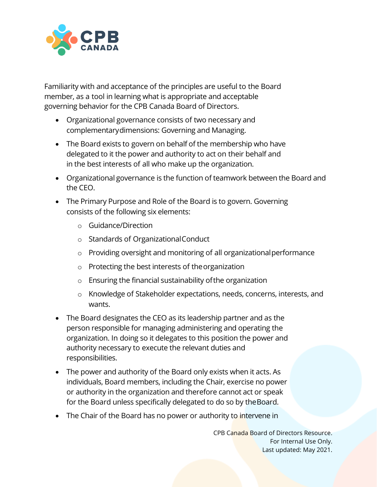

Familiarity with and acceptance of the principles are useful to the Board member, as a tool in learning what is appropriate and acceptable governing behavior for the CPB Canada Board of Directors.

- Organizational governance consists of two necessary and complementarydimensions: Governing and Managing.
- The Board exists to govern on behalf of the membership who have delegated to it the power and authority to act on their behalf and in the best interests of all who make up the organization.
- Organizational governance is the function of teamwork between the Board and the CEO.
- The Primary Purpose and Role of the Board is to govern. Governing consists of the following six elements:
	- o Guidance/Direction
	- o Standards of OrganizationalConduct
	- o Providing oversight and monitoring of all organizationalperformance
	- o Protecting the best interests of theorganization
	- o Ensuring the financial sustainability ofthe organization
	- o Knowledge of Stakeholder expectations, needs, concerns, interests, and wants.
- The Board designates the CEO as its leadership partner and as the person responsible for managing administering and operating the organization. In doing so it delegates to this position the power and authority necessary to execute the relevant duties and responsibilities.
- The power and authority of the Board only exists when it acts. As individuals, Board members, including the Chair, exercise no power or authority in the organization and therefore cannot act or speak for the Board unless specifically delegated to do so by theBoard.
- The Chair of the Board has no power or authority to intervene in